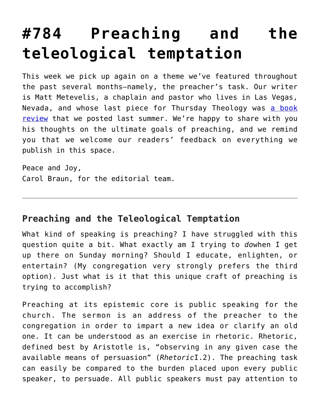## **[#784 Preaching and the](https://crossings.org/784-preaching-and-the-teleological-temptation/) [teleological temptation](https://crossings.org/784-preaching-and-the-teleological-temptation/)**

This week we pick up again on a theme we've featured throughout the past several months—namely, the preacher's task. Our writer is Matt Metevelis, a chaplain and pastor who lives in Las Vegas, Nevada, and whose last piece for Thursday Theology was [a book](https://crossings.org/thursday/2012/thur062812.shtml) [review](https://crossings.org/thursday/2012/thur062812.shtml) that we posted last summer. We're happy to share with you his thoughts on the ultimate goals of preaching, and we remind you that we welcome our readers' feedback on everything we publish in this space.

Peace and Joy, Carol Braun, for the editorial team.

## **Preaching and the Teleological Temptation**

What kind of speaking is preaching? I have struggled with this question quite a bit. What exactly am I trying to *do*when I get up there on Sunday morning? Should I educate, enlighten, or entertain? (My congregation very strongly prefers the third option). Just what is it that this unique craft of preaching is trying to accomplish?

Preaching at its epistemic core is public speaking for the church. The sermon is an address of the preacher to the congregation in order to impart a new idea or clarify an old one. It can be understood as an exercise in rhetoric. Rhetoric, defined best by Aristotle is, "observing in any given case the available means of persuasion" (*Rhetoric*I.2). The preaching task can easily be compared to the burden placed upon every public speaker, to persuade. All public speakers must pay attention to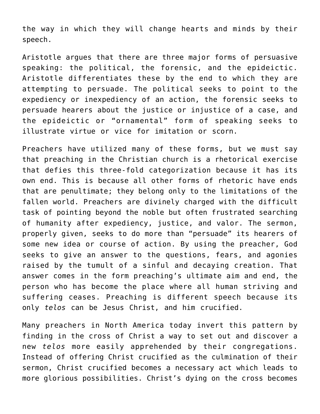the way in which they will change hearts and minds by their speech.

Aristotle argues that there are three major forms of persuasive speaking: the political, the forensic, and the epideictic. Aristotle differentiates these by the end to which they are attempting to persuade. The political seeks to point to the expediency or inexpediency of an action, the forensic seeks to persuade hearers about the justice or injustice of a case, and the epideictic or "ornamental" form of speaking seeks to illustrate virtue or vice for imitation or scorn.

Preachers have utilized many of these forms, but we must say that preaching in the Christian church is a rhetorical exercise that defies this three-fold categorization because it has its own end. This is because all other forms of rhetoric have ends that are penultimate; they belong only to the limitations of the fallen world. Preachers are divinely charged with the difficult task of pointing beyond the noble but often frustrated searching of humanity after expediency, justice, and valor. The sermon, properly given, seeks to do more than "persuade" its hearers of some new idea or course of action. By using the preacher, God seeks to give an answer to the questions, fears, and agonies raised by the tumult of a sinful and decaying creation. That answer comes in the form preaching's ultimate aim and end, the person who has become the place where all human striving and suffering ceases. Preaching is different speech because its only *telos* can be Jesus Christ, and him crucified.

Many preachers in North America today invert this pattern by finding in the cross of Christ a way to set out and discover a new *telos* more easily apprehended by their congregations. Instead of offering Christ crucified as the culmination of their sermon, Christ crucified becomes a necessary act which leads to more glorious possibilities. Christ's dying on the cross becomes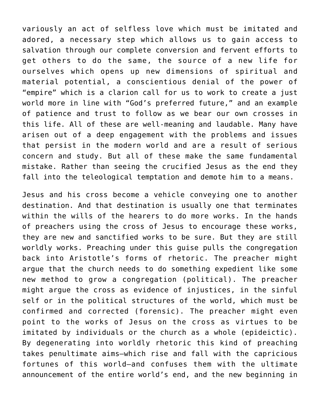variously an act of selfless love which must be imitated and adored, a necessary step which allows us to gain access to salvation through our complete conversion and fervent efforts to get others to do the same, the source of a new life for ourselves which opens up new dimensions of spiritual and material potential, a conscientious denial of the power of "empire" which is a clarion call for us to work to create a just world more in line with "God's preferred future," and an example of patience and trust to follow as we bear our own crosses in this life. All of these are well-meaning and laudable. Many have arisen out of a deep engagement with the problems and issues that persist in the modern world and are a result of serious concern and study. But all of these make the same fundamental mistake. Rather than seeing the crucified Jesus as the end they fall into the teleological temptation and demote him to a means.

Jesus and his cross become a vehicle conveying one to another destination. And that destination is usually one that terminates within the wills of the hearers to do more works. In the hands of preachers using the cross of Jesus to encourage these works, they are new and sanctified works to be sure. But they are still worldly works. Preaching under this guise pulls the congregation back into Aristotle's forms of rhetoric. The preacher might argue that the church needs to do something expedient like some new method to grow a congregation (political). The preacher might argue the cross as evidence of injustices, in the sinful self or in the political structures of the world, which must be confirmed and corrected (forensic). The preacher might even point to the works of Jesus on the cross as virtues to be imitated by individuals or the church as a whole (epideictic). By degenerating into worldly rhetoric this kind of preaching takes penultimate aims—which rise and fall with the capricious fortunes of this world—and confuses them with the ultimate announcement of the entire world's end, and the new beginning in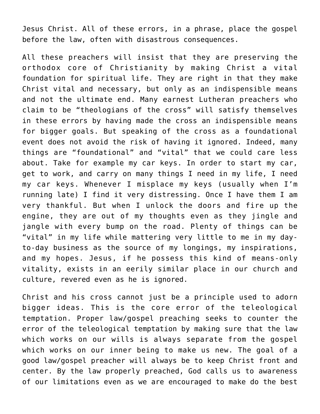Jesus Christ. All of these errors, in a phrase, place the gospel before the law, often with disastrous consequences.

All these preachers will insist that they are preserving the orthodox core of Christianity by making Christ a vital foundation for spiritual life. They are right in that they make Christ vital and necessary, but only as an indispensible means and not the ultimate end. Many earnest Lutheran preachers who claim to be "theologians of the cross" will satisfy themselves in these errors by having made the cross an indispensible means for bigger goals. But speaking of the cross as a foundational event does not avoid the risk of having it ignored. Indeed, many things are "foundational" and "vital" that we could care less about. Take for example my car keys. In order to start my car, get to work, and carry on many things I need in my life, I need my car keys. Whenever I misplace my keys (usually when I'm running late) I find it very distressing. Once I have them I am very thankful. But when I unlock the doors and fire up the engine, they are out of my thoughts even as they jingle and jangle with every bump on the road. Plenty of things can be "vital" in my life while mattering very little to me in my dayto-day business as the source of my longings, my inspirations, and my hopes. Jesus, if he possess this kind of means-only vitality, exists in an eerily similar place in our church and culture, revered even as he is ignored.

Christ and his cross cannot just be a principle used to adorn bigger ideas. This is the core error of the teleological temptation. Proper law/gospel preaching seeks to counter the error of the teleological temptation by making sure that the law which works on our wills is always separate from the gospel which works on our inner being to make us new. The goal of a good law/gospel preacher will always be to keep Christ front and center. By the law properly preached, God calls us to awareness of our limitations even as we are encouraged to make do the best